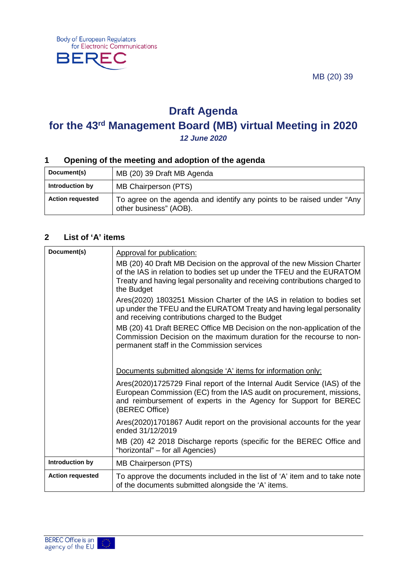MB (20) 39



# **Draft Agenda**

# **for the 43rd Management Board (MB) virtual Meeting in 2020**

*12 June 2020*

### **1 Opening of the meeting and adoption of the agenda**

| Document(s)             | MB (20) 39 Draft MB Agenda                                                                       |
|-------------------------|--------------------------------------------------------------------------------------------------|
| Introduction by         | MB Chairperson (PTS)                                                                             |
| <b>Action requested</b> | To agree on the agenda and identify any points to be raised under "Any<br>other business" (AOB). |

#### **2 List of 'A' items**

| Document(s)             | Approval for publication:                                                                                                                                                                                                                     |
|-------------------------|-----------------------------------------------------------------------------------------------------------------------------------------------------------------------------------------------------------------------------------------------|
|                         | MB (20) 40 Draft MB Decision on the approval of the new Mission Charter<br>of the IAS in relation to bodies set up under the TFEU and the EURATOM<br>Treaty and having legal personality and receiving contributions charged to<br>the Budget |
|                         | Ares(2020) 1803251 Mission Charter of the IAS in relation to bodies set<br>up under the TFEU and the EURATOM Treaty and having legal personality<br>and receiving contributions charged to the Budget                                         |
|                         | MB (20) 41 Draft BEREC Office MB Decision on the non-application of the<br>Commission Decision on the maximum duration for the recourse to non-<br>permanent staff in the Commission services                                                 |
|                         |                                                                                                                                                                                                                                               |
|                         | Documents submitted alongside 'A' items for information only:                                                                                                                                                                                 |
|                         | Ares(2020)1725729 Final report of the Internal Audit Service (IAS) of the<br>European Commission (EC) from the IAS audit on procurement, missions,<br>and reimbursement of experts in the Agency for Support for BEREC<br>(BEREC Office)      |
|                         | Ares(2020)1701867 Audit report on the provisional accounts for the year<br>ended 31/12/2019                                                                                                                                                   |
|                         | MB (20) 42 2018 Discharge reports (specific for the BEREC Office and<br>"horizontal" – for all Agencies)                                                                                                                                      |
| Introduction by         | MB Chairperson (PTS)                                                                                                                                                                                                                          |
| <b>Action requested</b> | To approve the documents included in the list of 'A' item and to take note<br>of the documents submitted alongside the 'A' items.                                                                                                             |